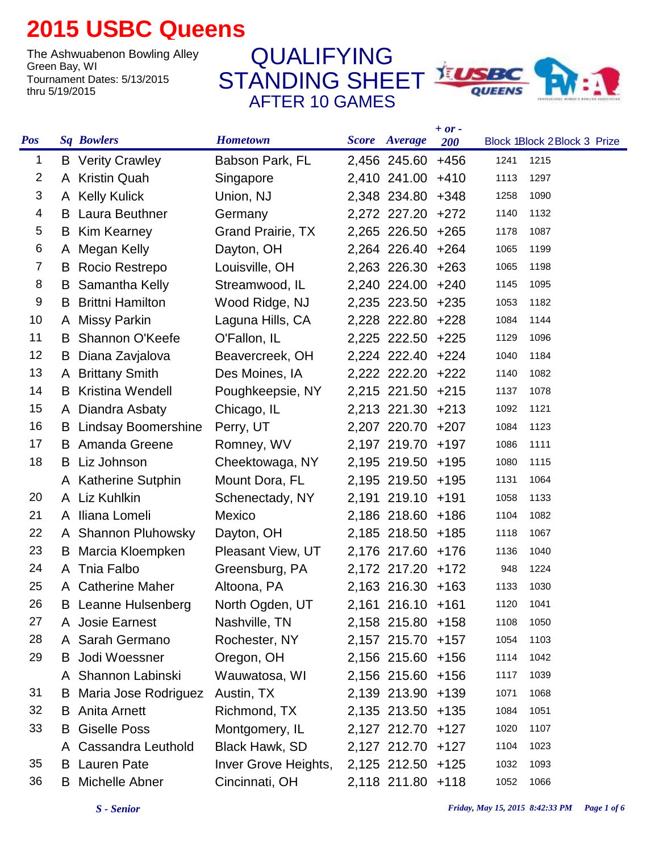## **2015 USBC Queens**

The Ashwuabenon Bowling Alley<br>Green Bay, WI Tournament Dates: 5/13/2015 thru 5/19/2015

STANDING SHEET **EUSBC** AFTER 10 GAMES QUALIFYING



|                |   |                               |                          |                      | $+ or -$ |      |                             |
|----------------|---|-------------------------------|--------------------------|----------------------|----------|------|-----------------------------|
| <b>Pos</b>     |   | <b>Sq Bowlers</b>             | <b>Hometown</b>          | <b>Score</b> Average | 200      |      | Block 1Block 2Block 3 Prize |
| 1              |   | <b>B</b> Verity Crawley       | Babson Park, FL          | 2,456 245.60         | $+456$   | 1241 | 1215                        |
| $\overline{2}$ |   | A Kristin Quah                | Singapore                | 2,410 241.00         | $+410$   | 1113 | 1297                        |
| 3              |   | A Kelly Kulick                | Union, NJ                | 2,348 234.80         | $+348$   | 1258 | 1090                        |
| 4              |   | <b>B</b> Laura Beuthner       | Germany                  | 2,272 227.20         | $+272$   | 1140 | 1132                        |
| 5              |   | <b>B</b> Kim Kearney          | <b>Grand Prairie, TX</b> | 2,265 226.50         | $+265$   | 1178 | 1087                        |
| 6              |   | A Megan Kelly                 | Dayton, OH               | 2,264 226.40         | $+264$   | 1065 | 1199                        |
| 7              | B | Rocio Restrepo                | Louisville, OH           | 2,263 226.30         | $+263$   | 1065 | 1198                        |
| 8              | B | Samantha Kelly                | Streamwood, IL           | 2,240 224.00         | $+240$   | 1145 | 1095                        |
| 9              | B | <b>Brittni Hamilton</b>       | Wood Ridge, NJ           | 2,235 223.50         | $+235$   | 1053 | 1182                        |
| 10             |   | A Missy Parkin                | Laguna Hills, CA         | 2,228 222.80         | $+228$   | 1084 | 1144                        |
| 11             | B | <b>Shannon O'Keefe</b>        | O'Fallon, IL             | 2,225 222.50         | $+225$   | 1129 | 1096                        |
| 12             | B | Diana Zavjalova               | Beavercreek, OH          | 2,224 222.40 +224    |          | 1040 | 1184                        |
| 13             |   | A Brittany Smith              | Des Moines, IA           | 2,222 222.20         | $+222$   | 1140 | 1082                        |
| 14             |   | <b>B</b> Kristina Wendell     | Poughkeepsie, NY         | 2,215 221.50         | $+215$   | 1137 | 1078                        |
| 15             |   | A Diandra Asbaty              | Chicago, IL              | 2,213 221.30         | $+213$   | 1092 | 1121                        |
| 16             |   | <b>B</b> Lindsay Boomershine  | Perry, UT                | 2,207 220.70         | $+207$   | 1084 | 1123                        |
| 17             |   | <b>B</b> Amanda Greene        | Romney, WV               | 2,197 219.70         | $+197$   | 1086 | 1111                        |
| 18             |   | <b>B</b> Liz Johnson          | Cheektowaga, NY          | 2,195 219.50         | $+195$   | 1080 | 1115                        |
|                |   | A Katherine Sutphin           | Mount Dora, FL           | 2,195 219.50         | $+195$   | 1131 | 1064                        |
| 20             |   | A Liz Kuhlkin                 | Schenectady, NY          | 2,191 219.10 +191    |          | 1058 | 1133                        |
| 21             |   | A Iliana Lomeli               | Mexico                   | 2,186 218.60 +186    |          | 1104 | 1082                        |
| 22             |   | A Shannon Pluhowsky           | Dayton, OH               | 2,185 218.50         | $+185$   | 1118 | 1067                        |
| 23             |   | <b>B</b> Marcia Kloempken     | Pleasant View, UT        | 2,176 217.60         | $+176$   | 1136 | 1040                        |
| 24             |   | A Tnia Falbo                  | Greensburg, PA           | 2,172 217.20 +172    |          | 948  | 1224                        |
| 25             |   | A Catherine Maher             | Altoona, PA              | 2,163 216.30 +163    |          | 1133 | 1030                        |
| 26             |   | <b>B</b> Leanne Hulsenberg    | North Ogden, UT          | 2,161 216.10 +161    |          | 1120 | 1041                        |
| 27             |   | A Josie Earnest               | Nashville, TN            | 2,158 215.80 +158    |          | 1108 | 1050                        |
| 28             |   | A Sarah Germano               | Rochester, NY            | 2,157 215.70 +157    |          | 1054 | 1103                        |
| 29             |   | <b>B</b> Jodi Woessner        | Oregon, OH               | 2,156 215.60 +156    |          | 1114 | 1042                        |
|                |   | A Shannon Labinski            | Wauwatosa, WI            | 2,156 215.60 +156    |          | 1117 | 1039                        |
| 31             |   | <b>B</b> Maria Jose Rodriguez | Austin, TX               | 2,139 213.90 +139    |          | 1071 | 1068                        |
| 32             |   | <b>B</b> Anita Arnett         | Richmond, TX             | 2,135 213.50 +135    |          | 1084 | 1051                        |
| 33             |   | <b>B</b> Giselle Poss         | Montgomery, IL           | 2,127 212.70 +127    |          | 1020 | 1107                        |
|                |   | A Cassandra Leuthold          | Black Hawk, SD           | 2,127 212.70 +127    |          | 1104 | 1023                        |
| 35             |   | <b>B</b> Lauren Pate          | Inver Grove Heights,     | 2,125 212.50 +125    |          | 1032 | 1093                        |
| 36             |   | <b>B</b> Michelle Abner       | Cincinnati, OH           | 2,118 211.80 +118    |          | 1052 | 1066                        |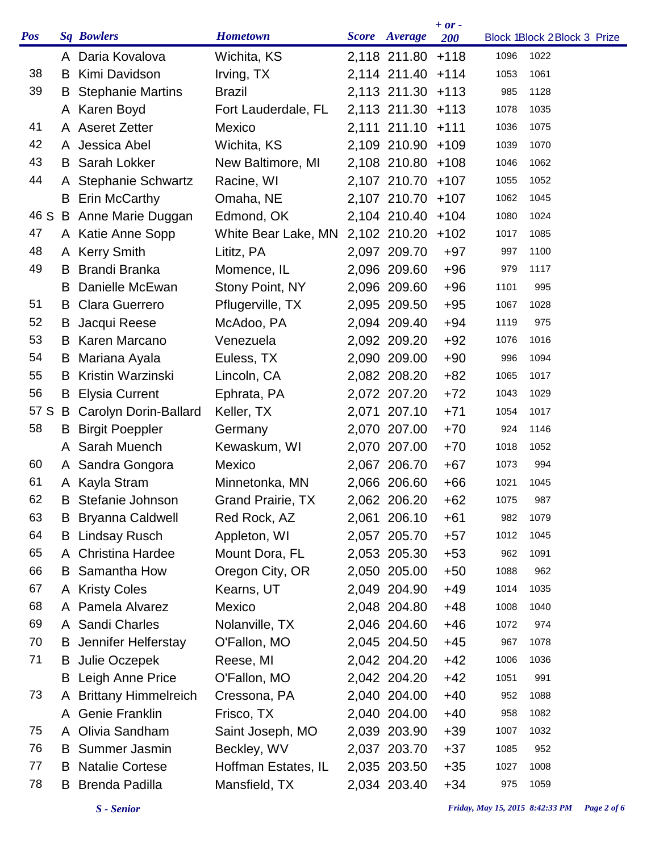| <b>Pos</b> |    | <b>Sq Bowlers</b>              | <b>Hometown</b>          | Score Average     | $+ or -$<br><b>200</b> |      | Block 1Block 2Block 3 Prize |  |
|------------|----|--------------------------------|--------------------------|-------------------|------------------------|------|-----------------------------|--|
|            |    | A Daria Kovalova               | Wichita, KS              | 2,118 211.80 +118 |                        | 1096 | 1022                        |  |
| 38         | B  | Kimi Davidson                  | Irving, TX               | 2,114 211.40 +114 |                        | 1053 | 1061                        |  |
| 39         |    | <b>B</b> Stephanie Martins     | <b>Brazil</b>            | 2,113 211.30 +113 |                        | 985  | 1128                        |  |
|            |    | A Karen Boyd                   | Fort Lauderdale, FL      | 2,113 211.30 +113 |                        | 1078 | 1035                        |  |
| 41         |    | A Aseret Zetter                | Mexico                   | 2,111 211.10 +111 |                        | 1036 | 1075                        |  |
| 42         |    | A Jessica Abel                 | Wichita, KS              | 2,109 210.90      | $+109$                 | 1039 | 1070                        |  |
| 43         |    | <b>B</b> Sarah Lokker          | New Baltimore, MI        | 2,108 210.80      | $+108$                 | 1046 | 1062                        |  |
| 44         |    | A Stephanie Schwartz           | Racine, WI               | 2,107 210.70      | $+107$                 | 1055 | 1052                        |  |
|            | B  | <b>Erin McCarthy</b>           | Omaha, NE                | 2,107 210.70      | $+107$                 | 1062 | 1045                        |  |
| 46 S       |    | B Anne Marie Duggan            | Edmond, OK               | 2,104 210.40      | $+104$                 | 1080 | 1024                        |  |
| 47         |    | A Katie Anne Sopp              | White Bear Lake, MN      | 2,102 210.20      | $+102$                 | 1017 | 1085                        |  |
| 48         |    | A Kerry Smith                  | Lititz, PA               | 2,097 209.70      | $+97$                  | 997  | 1100                        |  |
| 49         | B  | <b>Brandi Branka</b>           | Momence, IL              | 2,096 209.60      | $+96$                  | 979  | 1117                        |  |
|            | B  | Danielle McEwan                | Stony Point, NY          | 2,096 209.60      | $+96$                  | 1101 | 995                         |  |
| 51         |    | <b>B</b> Clara Guerrero        | Pflugerville, TX         | 2,095 209.50      | $+95$                  | 1067 | 1028                        |  |
| 52         |    | <b>B</b> Jacqui Reese          | McAdoo, PA               | 2,094 209.40      | $+94$                  | 1119 | 975                         |  |
| 53         |    | <b>B</b> Karen Marcano         | Venezuela                | 2,092 209.20      | $+92$                  | 1076 | 1016                        |  |
| 54         |    | <b>B</b> Mariana Ayala         | Euless, TX               | 2,090 209.00      | $+90$                  | 996  | 1094                        |  |
| 55         | B  | Kristin Warzinski              | Lincoln, CA              | 2,082 208.20      | $+82$                  | 1065 | 1017                        |  |
| 56         |    | <b>B</b> Elysia Current        | Ephrata, PA              | 2,072 207.20      | $+72$                  | 1043 | 1029                        |  |
| 57 S       |    | <b>B</b> Carolyn Dorin-Ballard | Keller, TX               | 2,071 207.10      | $+71$                  | 1054 | 1017                        |  |
| 58         | B  | <b>Birgit Poeppler</b>         | Germany                  | 2,070 207.00      | $+70$                  | 924  | 1146                        |  |
|            |    | A Sarah Muench                 | Kewaskum, WI             | 2,070 207.00      | $+70$                  | 1018 | 1052                        |  |
| 60         |    | A Sandra Gongora               | Mexico                   | 2,067 206.70      | $+67$                  | 1073 | 994                         |  |
| 61         |    | A Kayla Stram                  | Minnetonka, MN           | 2,066 206.60      | $+66$                  | 1021 | 1045                        |  |
| 62         | B  | Stefanie Johnson               | <b>Grand Prairie, TX</b> | 2,062 206.20      | $+62$                  | 1075 | 987                         |  |
| 63         | B  | <b>Bryanna Caldwell</b>        | Red Rock, AZ             | 2,061 206.10      | $+61$                  | 982  | 1079                        |  |
| 64         |    | <b>B</b> Lindsay Rusch         | Appleton, WI             | 2,057 205.70      | $+57$                  | 1012 | 1045                        |  |
| 65         |    | A Christina Hardee             | Mount Dora, FL           | 2,053 205.30      | $+53$                  | 962  | 1091                        |  |
| 66         | B  | Samantha How                   | Oregon City, OR          | 2,050 205.00      | $+50$                  | 1088 | 962                         |  |
| 67         |    | A Kristy Coles                 | Kearns, UT               | 2,049 204.90      | $+49$                  | 1014 | 1035                        |  |
| 68         |    | A Pamela Alvarez               | Mexico                   | 2,048 204.80      | $+48$                  | 1008 | 1040                        |  |
| 69         |    | A Sandi Charles                | Nolanville, TX           | 2,046 204.60      | $+46$                  | 1072 | 974                         |  |
| 70         |    | <b>B</b> Jennifer Helferstay   | O'Fallon, MO             | 2,045 204.50      | $+45$                  | 967  | 1078                        |  |
| 71         |    | <b>B</b> Julie Oczepek         | Reese, MI                | 2,042 204.20      | $+42$                  | 1006 | 1036                        |  |
|            |    | <b>B</b> Leigh Anne Price      | O'Fallon, MO             | 2,042 204.20      | $+42$                  | 1051 | 991                         |  |
| 73         |    | <b>Brittany Himmelreich</b>    | Cressona, PA             | 2,040 204.00      | $+40$                  | 952  | 1088                        |  |
|            |    | A Genie Franklin               | Frisco, TX               | 2,040 204.00      | $+40$                  | 958  | 1082                        |  |
| 75         |    | A Olivia Sandham               | Saint Joseph, MO         | 2,039 203.90      | $+39$                  | 1007 | 1032                        |  |
| 76         |    | <b>B</b> Summer Jasmin         | Beckley, WV              | 2,037 203.70      | $+37$                  | 1085 | 952                         |  |
| 77         | B. | <b>Natalie Cortese</b>         | Hoffman Estates, IL      | 2,035 203.50      | $+35$                  | 1027 | 1008                        |  |
| 78         | B  | <b>Brenda Padilla</b>          | Mansfield, TX            | 2,034 203.40      | $+34$                  | 975  | 1059                        |  |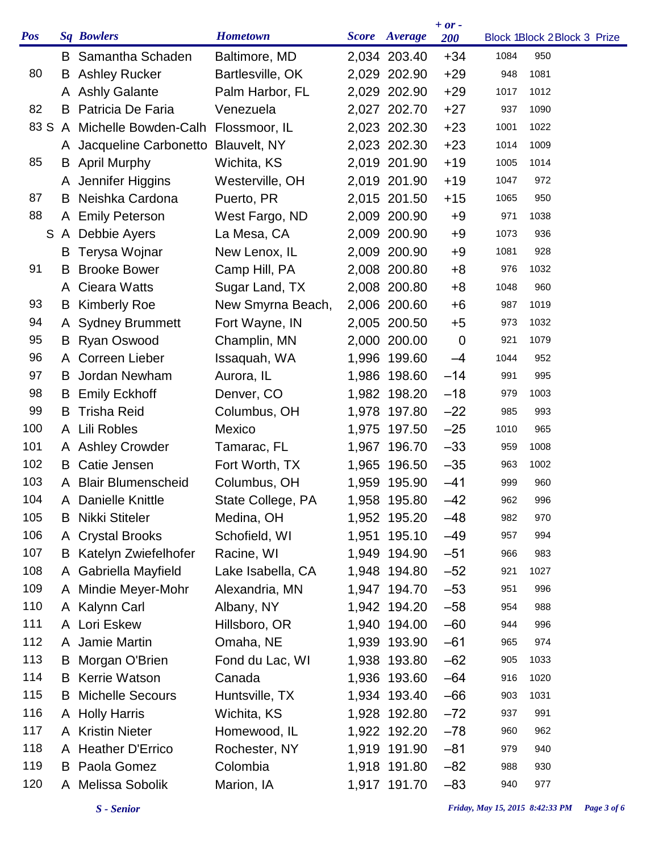| Baltimore, MD<br><b>B</b> Samantha Schaden<br>2,034 203.40<br>$+34$<br>1084<br>950<br>80<br><b>Ashley Rucker</b><br>Bartlesville, OK<br>2,029 202.90<br>$+29$<br>1081<br>948<br>B<br>A Ashly Galante<br>2,029 202.90<br>$+29$<br>Palm Harbor, FL<br>1017<br>1012<br>Patricia De Faria<br>$+27$<br>82<br>Venezuela<br>2,027 202.70<br>B<br>1090<br>937<br>83 S<br>A Michelle Bowden-Calh<br>Flossmoor, IL<br>2,023 202.30<br>$+23$<br>1022<br>1001<br>$+23$<br>A Jacqueline Carbonetto Blauvelt, NY<br>2,023 202.30<br>1009<br>1014<br>$+19$<br>85<br><b>B</b> April Murphy<br>Wichita, KS<br>2,019 201.90<br>1014<br>1005<br>A Jennifer Higgins<br>Westerville, OH<br>2,019 201.90<br>$+19$<br>972<br>1047<br>Neishka Cardona<br>87<br>Puerto, PR<br>2,015 201.50<br>$+15$<br>950<br>B<br>1065<br>88<br>A Emily Peterson<br>West Fargo, ND<br>2,009 200.90<br>1038<br>$+9$<br>971<br>A Debbie Ayers<br>La Mesa, CA<br>2,009 200.90<br>$+9$<br>936<br>S<br>1073<br>Terysa Wojnar<br>New Lenox, IL<br>2,009 200.90<br>$+9$<br>928<br>B<br>1081<br><b>Brooke Bower</b><br>Camp Hill, PA<br>91<br>2,008 200.80<br>$+8$<br>1032<br>B<br>976<br>2,008 200.80<br>960<br><b>Cieara Watts</b><br>Sugar Land, TX<br>$+8$<br>1048<br>A<br>93<br><b>Kimberly Roe</b><br>New Smyrna Beach,<br>2,006 200.60<br>$+6$<br>987<br>1019<br>B<br>94<br>A Sydney Brummett<br>Fort Wayne, IN<br>2,005 200.50<br>$+5$<br>1032<br>973<br>95<br><b>Ryan Oswood</b><br>Champlin, MN<br>2,000 200.00<br>$\mathbf 0$<br>1079<br>921<br>B<br>96<br>A Correen Lieber<br>952<br>Issaquah, WA<br>1,996 199.60<br>$-4$<br>1044<br>97<br>$-14$<br>Jordan Newham<br>Aurora, IL<br>1,986 198.60<br>995<br>991<br>B.<br>98<br>Denver, CO<br>$-18$<br><b>B</b> Emily Eckhoff<br>1,982 198.20<br>1003<br>979<br>99<br><b>Trisha Reid</b><br>Columbus, OH<br>1,978 197.80<br>$-22$<br>993<br>985<br>B<br>100<br>A Lili Robles<br>$-25$<br>Mexico<br>1,975 197.50<br>965<br>1010<br>101<br>1,967 196.70<br>$-33$<br>A Ashley Crowder<br>Tamarac, FL<br>1008<br>959<br>102<br>Catie Jensen<br>Fort Worth, TX<br>1,965 196.50<br>$-35$<br>1002<br>B<br>963<br>103<br><b>Blair Blumenscheid</b><br>Columbus, OH<br>1,959 195.90<br>$-41$<br>999<br>960<br>A<br>104<br>1,958 195.80<br>$-42$<br>State College, PA<br>Danielle Knittle<br>962<br>996<br>A<br>105<br>Nikki Stiteler<br>Medina, OH<br>1,952 195.20<br>$-48$<br>970<br>982<br>B<br>1,951 195.10<br>$-49$<br>106<br><b>Crystal Brooks</b><br>Schofield, WI<br>994<br>957<br>A<br>107<br>Katelyn Zwiefelhofer<br>Racine, WI<br>1,949 194.90<br>$-51$<br>983<br>966<br>108<br>A Gabriella Mayfield<br>Lake Isabella, CA<br>1,948 194.80<br>$-52$<br>1027<br>921<br>$-53$<br>A Mindie Meyer-Mohr<br>Alexandria, MN<br>1,947 194.70<br>996<br>951<br>A Kalynn Carl<br>Albany, NY<br>$-58$<br>1,942 194.20<br>988<br>954<br>A Lori Eskew<br>Hillsboro, OR<br>1,940 194.00<br>$-60$<br>996<br>944<br>A Jamie Martin<br>$-61$<br>Omaha, NE<br>1,939 193.90<br>974<br>965<br>Fond du Lac, WI<br>$-62$<br>Morgan O'Brien<br>1,938 193.80<br>1033<br>905<br>B<br><b>B</b> Kerrie Watson<br>Canada<br>$-64$<br>1,936 193.60<br>1020<br>916<br><b>Michelle Secours</b><br>$-66$<br>Huntsville, TX<br>1,934 193.40<br>1031<br>903<br>A Holly Harris<br>1,928 192.80<br>$-72$<br>Wichita, KS<br>991<br>937<br>A Kristin Nieter<br>$-78$<br>Homewood, IL<br>1,922 192.20<br>962<br>960<br>A Heather D'Errico<br>Rochester, NY<br>$-81$<br>1,919 191.90<br>940<br>979<br>Colombia<br><b>B</b> Paola Gomez<br>1,918 191.80<br>$-82$<br>930<br>988 | <b>Pos</b> | <b>Sq Bowlers</b> | <b>Hometown</b> | <b>Score</b> Average | $+ or -$<br>200 | Block 1Block 2Block 3 Prize |  |
|------------------------------------------------------------------------------------------------------------------------------------------------------------------------------------------------------------------------------------------------------------------------------------------------------------------------------------------------------------------------------------------------------------------------------------------------------------------------------------------------------------------------------------------------------------------------------------------------------------------------------------------------------------------------------------------------------------------------------------------------------------------------------------------------------------------------------------------------------------------------------------------------------------------------------------------------------------------------------------------------------------------------------------------------------------------------------------------------------------------------------------------------------------------------------------------------------------------------------------------------------------------------------------------------------------------------------------------------------------------------------------------------------------------------------------------------------------------------------------------------------------------------------------------------------------------------------------------------------------------------------------------------------------------------------------------------------------------------------------------------------------------------------------------------------------------------------------------------------------------------------------------------------------------------------------------------------------------------------------------------------------------------------------------------------------------------------------------------------------------------------------------------------------------------------------------------------------------------------------------------------------------------------------------------------------------------------------------------------------------------------------------------------------------------------------------------------------------------------------------------------------------------------------------------------------------------------------------------------------------------------------------------------------------------------------------------------------------------------------------------------------------------------------------------------------------------------------------------------------------------------------------------------------------------------------------------------------------------------------------------------------------------------------------------------------------------------------------------------------------------------------------------------------------------------------------------------------------------------------------------------------------------------------------------------------------------------------------------------------------------------------------------------------------------------------------------------------------------------------------------------------------------------------------------|------------|-------------------|-----------------|----------------------|-----------------|-----------------------------|--|
|                                                                                                                                                                                                                                                                                                                                                                                                                                                                                                                                                                                                                                                                                                                                                                                                                                                                                                                                                                                                                                                                                                                                                                                                                                                                                                                                                                                                                                                                                                                                                                                                                                                                                                                                                                                                                                                                                                                                                                                                                                                                                                                                                                                                                                                                                                                                                                                                                                                                                                                                                                                                                                                                                                                                                                                                                                                                                                                                                                                                                                                                                                                                                                                                                                                                                                                                                                                                                                                                                                                                                |            |                   |                 |                      |                 |                             |  |
|                                                                                                                                                                                                                                                                                                                                                                                                                                                                                                                                                                                                                                                                                                                                                                                                                                                                                                                                                                                                                                                                                                                                                                                                                                                                                                                                                                                                                                                                                                                                                                                                                                                                                                                                                                                                                                                                                                                                                                                                                                                                                                                                                                                                                                                                                                                                                                                                                                                                                                                                                                                                                                                                                                                                                                                                                                                                                                                                                                                                                                                                                                                                                                                                                                                                                                                                                                                                                                                                                                                                                |            |                   |                 |                      |                 |                             |  |
|                                                                                                                                                                                                                                                                                                                                                                                                                                                                                                                                                                                                                                                                                                                                                                                                                                                                                                                                                                                                                                                                                                                                                                                                                                                                                                                                                                                                                                                                                                                                                                                                                                                                                                                                                                                                                                                                                                                                                                                                                                                                                                                                                                                                                                                                                                                                                                                                                                                                                                                                                                                                                                                                                                                                                                                                                                                                                                                                                                                                                                                                                                                                                                                                                                                                                                                                                                                                                                                                                                                                                |            |                   |                 |                      |                 |                             |  |
|                                                                                                                                                                                                                                                                                                                                                                                                                                                                                                                                                                                                                                                                                                                                                                                                                                                                                                                                                                                                                                                                                                                                                                                                                                                                                                                                                                                                                                                                                                                                                                                                                                                                                                                                                                                                                                                                                                                                                                                                                                                                                                                                                                                                                                                                                                                                                                                                                                                                                                                                                                                                                                                                                                                                                                                                                                                                                                                                                                                                                                                                                                                                                                                                                                                                                                                                                                                                                                                                                                                                                |            |                   |                 |                      |                 |                             |  |
|                                                                                                                                                                                                                                                                                                                                                                                                                                                                                                                                                                                                                                                                                                                                                                                                                                                                                                                                                                                                                                                                                                                                                                                                                                                                                                                                                                                                                                                                                                                                                                                                                                                                                                                                                                                                                                                                                                                                                                                                                                                                                                                                                                                                                                                                                                                                                                                                                                                                                                                                                                                                                                                                                                                                                                                                                                                                                                                                                                                                                                                                                                                                                                                                                                                                                                                                                                                                                                                                                                                                                |            |                   |                 |                      |                 |                             |  |
|                                                                                                                                                                                                                                                                                                                                                                                                                                                                                                                                                                                                                                                                                                                                                                                                                                                                                                                                                                                                                                                                                                                                                                                                                                                                                                                                                                                                                                                                                                                                                                                                                                                                                                                                                                                                                                                                                                                                                                                                                                                                                                                                                                                                                                                                                                                                                                                                                                                                                                                                                                                                                                                                                                                                                                                                                                                                                                                                                                                                                                                                                                                                                                                                                                                                                                                                                                                                                                                                                                                                                |            |                   |                 |                      |                 |                             |  |
|                                                                                                                                                                                                                                                                                                                                                                                                                                                                                                                                                                                                                                                                                                                                                                                                                                                                                                                                                                                                                                                                                                                                                                                                                                                                                                                                                                                                                                                                                                                                                                                                                                                                                                                                                                                                                                                                                                                                                                                                                                                                                                                                                                                                                                                                                                                                                                                                                                                                                                                                                                                                                                                                                                                                                                                                                                                                                                                                                                                                                                                                                                                                                                                                                                                                                                                                                                                                                                                                                                                                                |            |                   |                 |                      |                 |                             |  |
|                                                                                                                                                                                                                                                                                                                                                                                                                                                                                                                                                                                                                                                                                                                                                                                                                                                                                                                                                                                                                                                                                                                                                                                                                                                                                                                                                                                                                                                                                                                                                                                                                                                                                                                                                                                                                                                                                                                                                                                                                                                                                                                                                                                                                                                                                                                                                                                                                                                                                                                                                                                                                                                                                                                                                                                                                                                                                                                                                                                                                                                                                                                                                                                                                                                                                                                                                                                                                                                                                                                                                |            |                   |                 |                      |                 |                             |  |
|                                                                                                                                                                                                                                                                                                                                                                                                                                                                                                                                                                                                                                                                                                                                                                                                                                                                                                                                                                                                                                                                                                                                                                                                                                                                                                                                                                                                                                                                                                                                                                                                                                                                                                                                                                                                                                                                                                                                                                                                                                                                                                                                                                                                                                                                                                                                                                                                                                                                                                                                                                                                                                                                                                                                                                                                                                                                                                                                                                                                                                                                                                                                                                                                                                                                                                                                                                                                                                                                                                                                                |            |                   |                 |                      |                 |                             |  |
|                                                                                                                                                                                                                                                                                                                                                                                                                                                                                                                                                                                                                                                                                                                                                                                                                                                                                                                                                                                                                                                                                                                                                                                                                                                                                                                                                                                                                                                                                                                                                                                                                                                                                                                                                                                                                                                                                                                                                                                                                                                                                                                                                                                                                                                                                                                                                                                                                                                                                                                                                                                                                                                                                                                                                                                                                                                                                                                                                                                                                                                                                                                                                                                                                                                                                                                                                                                                                                                                                                                                                |            |                   |                 |                      |                 |                             |  |
|                                                                                                                                                                                                                                                                                                                                                                                                                                                                                                                                                                                                                                                                                                                                                                                                                                                                                                                                                                                                                                                                                                                                                                                                                                                                                                                                                                                                                                                                                                                                                                                                                                                                                                                                                                                                                                                                                                                                                                                                                                                                                                                                                                                                                                                                                                                                                                                                                                                                                                                                                                                                                                                                                                                                                                                                                                                                                                                                                                                                                                                                                                                                                                                                                                                                                                                                                                                                                                                                                                                                                |            |                   |                 |                      |                 |                             |  |
|                                                                                                                                                                                                                                                                                                                                                                                                                                                                                                                                                                                                                                                                                                                                                                                                                                                                                                                                                                                                                                                                                                                                                                                                                                                                                                                                                                                                                                                                                                                                                                                                                                                                                                                                                                                                                                                                                                                                                                                                                                                                                                                                                                                                                                                                                                                                                                                                                                                                                                                                                                                                                                                                                                                                                                                                                                                                                                                                                                                                                                                                                                                                                                                                                                                                                                                                                                                                                                                                                                                                                |            |                   |                 |                      |                 |                             |  |
|                                                                                                                                                                                                                                                                                                                                                                                                                                                                                                                                                                                                                                                                                                                                                                                                                                                                                                                                                                                                                                                                                                                                                                                                                                                                                                                                                                                                                                                                                                                                                                                                                                                                                                                                                                                                                                                                                                                                                                                                                                                                                                                                                                                                                                                                                                                                                                                                                                                                                                                                                                                                                                                                                                                                                                                                                                                                                                                                                                                                                                                                                                                                                                                                                                                                                                                                                                                                                                                                                                                                                |            |                   |                 |                      |                 |                             |  |
|                                                                                                                                                                                                                                                                                                                                                                                                                                                                                                                                                                                                                                                                                                                                                                                                                                                                                                                                                                                                                                                                                                                                                                                                                                                                                                                                                                                                                                                                                                                                                                                                                                                                                                                                                                                                                                                                                                                                                                                                                                                                                                                                                                                                                                                                                                                                                                                                                                                                                                                                                                                                                                                                                                                                                                                                                                                                                                                                                                                                                                                                                                                                                                                                                                                                                                                                                                                                                                                                                                                                                |            |                   |                 |                      |                 |                             |  |
|                                                                                                                                                                                                                                                                                                                                                                                                                                                                                                                                                                                                                                                                                                                                                                                                                                                                                                                                                                                                                                                                                                                                                                                                                                                                                                                                                                                                                                                                                                                                                                                                                                                                                                                                                                                                                                                                                                                                                                                                                                                                                                                                                                                                                                                                                                                                                                                                                                                                                                                                                                                                                                                                                                                                                                                                                                                                                                                                                                                                                                                                                                                                                                                                                                                                                                                                                                                                                                                                                                                                                |            |                   |                 |                      |                 |                             |  |
|                                                                                                                                                                                                                                                                                                                                                                                                                                                                                                                                                                                                                                                                                                                                                                                                                                                                                                                                                                                                                                                                                                                                                                                                                                                                                                                                                                                                                                                                                                                                                                                                                                                                                                                                                                                                                                                                                                                                                                                                                                                                                                                                                                                                                                                                                                                                                                                                                                                                                                                                                                                                                                                                                                                                                                                                                                                                                                                                                                                                                                                                                                                                                                                                                                                                                                                                                                                                                                                                                                                                                |            |                   |                 |                      |                 |                             |  |
|                                                                                                                                                                                                                                                                                                                                                                                                                                                                                                                                                                                                                                                                                                                                                                                                                                                                                                                                                                                                                                                                                                                                                                                                                                                                                                                                                                                                                                                                                                                                                                                                                                                                                                                                                                                                                                                                                                                                                                                                                                                                                                                                                                                                                                                                                                                                                                                                                                                                                                                                                                                                                                                                                                                                                                                                                                                                                                                                                                                                                                                                                                                                                                                                                                                                                                                                                                                                                                                                                                                                                |            |                   |                 |                      |                 |                             |  |
|                                                                                                                                                                                                                                                                                                                                                                                                                                                                                                                                                                                                                                                                                                                                                                                                                                                                                                                                                                                                                                                                                                                                                                                                                                                                                                                                                                                                                                                                                                                                                                                                                                                                                                                                                                                                                                                                                                                                                                                                                                                                                                                                                                                                                                                                                                                                                                                                                                                                                                                                                                                                                                                                                                                                                                                                                                                                                                                                                                                                                                                                                                                                                                                                                                                                                                                                                                                                                                                                                                                                                |            |                   |                 |                      |                 |                             |  |
|                                                                                                                                                                                                                                                                                                                                                                                                                                                                                                                                                                                                                                                                                                                                                                                                                                                                                                                                                                                                                                                                                                                                                                                                                                                                                                                                                                                                                                                                                                                                                                                                                                                                                                                                                                                                                                                                                                                                                                                                                                                                                                                                                                                                                                                                                                                                                                                                                                                                                                                                                                                                                                                                                                                                                                                                                                                                                                                                                                                                                                                                                                                                                                                                                                                                                                                                                                                                                                                                                                                                                |            |                   |                 |                      |                 |                             |  |
|                                                                                                                                                                                                                                                                                                                                                                                                                                                                                                                                                                                                                                                                                                                                                                                                                                                                                                                                                                                                                                                                                                                                                                                                                                                                                                                                                                                                                                                                                                                                                                                                                                                                                                                                                                                                                                                                                                                                                                                                                                                                                                                                                                                                                                                                                                                                                                                                                                                                                                                                                                                                                                                                                                                                                                                                                                                                                                                                                                                                                                                                                                                                                                                                                                                                                                                                                                                                                                                                                                                                                |            |                   |                 |                      |                 |                             |  |
|                                                                                                                                                                                                                                                                                                                                                                                                                                                                                                                                                                                                                                                                                                                                                                                                                                                                                                                                                                                                                                                                                                                                                                                                                                                                                                                                                                                                                                                                                                                                                                                                                                                                                                                                                                                                                                                                                                                                                                                                                                                                                                                                                                                                                                                                                                                                                                                                                                                                                                                                                                                                                                                                                                                                                                                                                                                                                                                                                                                                                                                                                                                                                                                                                                                                                                                                                                                                                                                                                                                                                |            |                   |                 |                      |                 |                             |  |
|                                                                                                                                                                                                                                                                                                                                                                                                                                                                                                                                                                                                                                                                                                                                                                                                                                                                                                                                                                                                                                                                                                                                                                                                                                                                                                                                                                                                                                                                                                                                                                                                                                                                                                                                                                                                                                                                                                                                                                                                                                                                                                                                                                                                                                                                                                                                                                                                                                                                                                                                                                                                                                                                                                                                                                                                                                                                                                                                                                                                                                                                                                                                                                                                                                                                                                                                                                                                                                                                                                                                                |            |                   |                 |                      |                 |                             |  |
|                                                                                                                                                                                                                                                                                                                                                                                                                                                                                                                                                                                                                                                                                                                                                                                                                                                                                                                                                                                                                                                                                                                                                                                                                                                                                                                                                                                                                                                                                                                                                                                                                                                                                                                                                                                                                                                                                                                                                                                                                                                                                                                                                                                                                                                                                                                                                                                                                                                                                                                                                                                                                                                                                                                                                                                                                                                                                                                                                                                                                                                                                                                                                                                                                                                                                                                                                                                                                                                                                                                                                |            |                   |                 |                      |                 |                             |  |
|                                                                                                                                                                                                                                                                                                                                                                                                                                                                                                                                                                                                                                                                                                                                                                                                                                                                                                                                                                                                                                                                                                                                                                                                                                                                                                                                                                                                                                                                                                                                                                                                                                                                                                                                                                                                                                                                                                                                                                                                                                                                                                                                                                                                                                                                                                                                                                                                                                                                                                                                                                                                                                                                                                                                                                                                                                                                                                                                                                                                                                                                                                                                                                                                                                                                                                                                                                                                                                                                                                                                                |            |                   |                 |                      |                 |                             |  |
|                                                                                                                                                                                                                                                                                                                                                                                                                                                                                                                                                                                                                                                                                                                                                                                                                                                                                                                                                                                                                                                                                                                                                                                                                                                                                                                                                                                                                                                                                                                                                                                                                                                                                                                                                                                                                                                                                                                                                                                                                                                                                                                                                                                                                                                                                                                                                                                                                                                                                                                                                                                                                                                                                                                                                                                                                                                                                                                                                                                                                                                                                                                                                                                                                                                                                                                                                                                                                                                                                                                                                |            |                   |                 |                      |                 |                             |  |
|                                                                                                                                                                                                                                                                                                                                                                                                                                                                                                                                                                                                                                                                                                                                                                                                                                                                                                                                                                                                                                                                                                                                                                                                                                                                                                                                                                                                                                                                                                                                                                                                                                                                                                                                                                                                                                                                                                                                                                                                                                                                                                                                                                                                                                                                                                                                                                                                                                                                                                                                                                                                                                                                                                                                                                                                                                                                                                                                                                                                                                                                                                                                                                                                                                                                                                                                                                                                                                                                                                                                                |            |                   |                 |                      |                 |                             |  |
|                                                                                                                                                                                                                                                                                                                                                                                                                                                                                                                                                                                                                                                                                                                                                                                                                                                                                                                                                                                                                                                                                                                                                                                                                                                                                                                                                                                                                                                                                                                                                                                                                                                                                                                                                                                                                                                                                                                                                                                                                                                                                                                                                                                                                                                                                                                                                                                                                                                                                                                                                                                                                                                                                                                                                                                                                                                                                                                                                                                                                                                                                                                                                                                                                                                                                                                                                                                                                                                                                                                                                |            |                   |                 |                      |                 |                             |  |
|                                                                                                                                                                                                                                                                                                                                                                                                                                                                                                                                                                                                                                                                                                                                                                                                                                                                                                                                                                                                                                                                                                                                                                                                                                                                                                                                                                                                                                                                                                                                                                                                                                                                                                                                                                                                                                                                                                                                                                                                                                                                                                                                                                                                                                                                                                                                                                                                                                                                                                                                                                                                                                                                                                                                                                                                                                                                                                                                                                                                                                                                                                                                                                                                                                                                                                                                                                                                                                                                                                                                                |            |                   |                 |                      |                 |                             |  |
|                                                                                                                                                                                                                                                                                                                                                                                                                                                                                                                                                                                                                                                                                                                                                                                                                                                                                                                                                                                                                                                                                                                                                                                                                                                                                                                                                                                                                                                                                                                                                                                                                                                                                                                                                                                                                                                                                                                                                                                                                                                                                                                                                                                                                                                                                                                                                                                                                                                                                                                                                                                                                                                                                                                                                                                                                                                                                                                                                                                                                                                                                                                                                                                                                                                                                                                                                                                                                                                                                                                                                |            |                   |                 |                      |                 |                             |  |
|                                                                                                                                                                                                                                                                                                                                                                                                                                                                                                                                                                                                                                                                                                                                                                                                                                                                                                                                                                                                                                                                                                                                                                                                                                                                                                                                                                                                                                                                                                                                                                                                                                                                                                                                                                                                                                                                                                                                                                                                                                                                                                                                                                                                                                                                                                                                                                                                                                                                                                                                                                                                                                                                                                                                                                                                                                                                                                                                                                                                                                                                                                                                                                                                                                                                                                                                                                                                                                                                                                                                                |            |                   |                 |                      |                 |                             |  |
|                                                                                                                                                                                                                                                                                                                                                                                                                                                                                                                                                                                                                                                                                                                                                                                                                                                                                                                                                                                                                                                                                                                                                                                                                                                                                                                                                                                                                                                                                                                                                                                                                                                                                                                                                                                                                                                                                                                                                                                                                                                                                                                                                                                                                                                                                                                                                                                                                                                                                                                                                                                                                                                                                                                                                                                                                                                                                                                                                                                                                                                                                                                                                                                                                                                                                                                                                                                                                                                                                                                                                | 109        |                   |                 |                      |                 |                             |  |
|                                                                                                                                                                                                                                                                                                                                                                                                                                                                                                                                                                                                                                                                                                                                                                                                                                                                                                                                                                                                                                                                                                                                                                                                                                                                                                                                                                                                                                                                                                                                                                                                                                                                                                                                                                                                                                                                                                                                                                                                                                                                                                                                                                                                                                                                                                                                                                                                                                                                                                                                                                                                                                                                                                                                                                                                                                                                                                                                                                                                                                                                                                                                                                                                                                                                                                                                                                                                                                                                                                                                                | 110        |                   |                 |                      |                 |                             |  |
|                                                                                                                                                                                                                                                                                                                                                                                                                                                                                                                                                                                                                                                                                                                                                                                                                                                                                                                                                                                                                                                                                                                                                                                                                                                                                                                                                                                                                                                                                                                                                                                                                                                                                                                                                                                                                                                                                                                                                                                                                                                                                                                                                                                                                                                                                                                                                                                                                                                                                                                                                                                                                                                                                                                                                                                                                                                                                                                                                                                                                                                                                                                                                                                                                                                                                                                                                                                                                                                                                                                                                | 111        |                   |                 |                      |                 |                             |  |
|                                                                                                                                                                                                                                                                                                                                                                                                                                                                                                                                                                                                                                                                                                                                                                                                                                                                                                                                                                                                                                                                                                                                                                                                                                                                                                                                                                                                                                                                                                                                                                                                                                                                                                                                                                                                                                                                                                                                                                                                                                                                                                                                                                                                                                                                                                                                                                                                                                                                                                                                                                                                                                                                                                                                                                                                                                                                                                                                                                                                                                                                                                                                                                                                                                                                                                                                                                                                                                                                                                                                                | 112        |                   |                 |                      |                 |                             |  |
|                                                                                                                                                                                                                                                                                                                                                                                                                                                                                                                                                                                                                                                                                                                                                                                                                                                                                                                                                                                                                                                                                                                                                                                                                                                                                                                                                                                                                                                                                                                                                                                                                                                                                                                                                                                                                                                                                                                                                                                                                                                                                                                                                                                                                                                                                                                                                                                                                                                                                                                                                                                                                                                                                                                                                                                                                                                                                                                                                                                                                                                                                                                                                                                                                                                                                                                                                                                                                                                                                                                                                | 113        |                   |                 |                      |                 |                             |  |
|                                                                                                                                                                                                                                                                                                                                                                                                                                                                                                                                                                                                                                                                                                                                                                                                                                                                                                                                                                                                                                                                                                                                                                                                                                                                                                                                                                                                                                                                                                                                                                                                                                                                                                                                                                                                                                                                                                                                                                                                                                                                                                                                                                                                                                                                                                                                                                                                                                                                                                                                                                                                                                                                                                                                                                                                                                                                                                                                                                                                                                                                                                                                                                                                                                                                                                                                                                                                                                                                                                                                                | 114        |                   |                 |                      |                 |                             |  |
|                                                                                                                                                                                                                                                                                                                                                                                                                                                                                                                                                                                                                                                                                                                                                                                                                                                                                                                                                                                                                                                                                                                                                                                                                                                                                                                                                                                                                                                                                                                                                                                                                                                                                                                                                                                                                                                                                                                                                                                                                                                                                                                                                                                                                                                                                                                                                                                                                                                                                                                                                                                                                                                                                                                                                                                                                                                                                                                                                                                                                                                                                                                                                                                                                                                                                                                                                                                                                                                                                                                                                | 115        |                   |                 |                      |                 |                             |  |
|                                                                                                                                                                                                                                                                                                                                                                                                                                                                                                                                                                                                                                                                                                                                                                                                                                                                                                                                                                                                                                                                                                                                                                                                                                                                                                                                                                                                                                                                                                                                                                                                                                                                                                                                                                                                                                                                                                                                                                                                                                                                                                                                                                                                                                                                                                                                                                                                                                                                                                                                                                                                                                                                                                                                                                                                                                                                                                                                                                                                                                                                                                                                                                                                                                                                                                                                                                                                                                                                                                                                                | 116        |                   |                 |                      |                 |                             |  |
|                                                                                                                                                                                                                                                                                                                                                                                                                                                                                                                                                                                                                                                                                                                                                                                                                                                                                                                                                                                                                                                                                                                                                                                                                                                                                                                                                                                                                                                                                                                                                                                                                                                                                                                                                                                                                                                                                                                                                                                                                                                                                                                                                                                                                                                                                                                                                                                                                                                                                                                                                                                                                                                                                                                                                                                                                                                                                                                                                                                                                                                                                                                                                                                                                                                                                                                                                                                                                                                                                                                                                | 117        |                   |                 |                      |                 |                             |  |
|                                                                                                                                                                                                                                                                                                                                                                                                                                                                                                                                                                                                                                                                                                                                                                                                                                                                                                                                                                                                                                                                                                                                                                                                                                                                                                                                                                                                                                                                                                                                                                                                                                                                                                                                                                                                                                                                                                                                                                                                                                                                                                                                                                                                                                                                                                                                                                                                                                                                                                                                                                                                                                                                                                                                                                                                                                                                                                                                                                                                                                                                                                                                                                                                                                                                                                                                                                                                                                                                                                                                                | 118        |                   |                 |                      |                 |                             |  |
|                                                                                                                                                                                                                                                                                                                                                                                                                                                                                                                                                                                                                                                                                                                                                                                                                                                                                                                                                                                                                                                                                                                                                                                                                                                                                                                                                                                                                                                                                                                                                                                                                                                                                                                                                                                                                                                                                                                                                                                                                                                                                                                                                                                                                                                                                                                                                                                                                                                                                                                                                                                                                                                                                                                                                                                                                                                                                                                                                                                                                                                                                                                                                                                                                                                                                                                                                                                                                                                                                                                                                | 119        |                   |                 |                      |                 |                             |  |
| 1,917 191.70<br>Marion, IA<br>977<br>940<br>A                                                                                                                                                                                                                                                                                                                                                                                                                                                                                                                                                                                                                                                                                                                                                                                                                                                                                                                                                                                                                                                                                                                                                                                                                                                                                                                                                                                                                                                                                                                                                                                                                                                                                                                                                                                                                                                                                                                                                                                                                                                                                                                                                                                                                                                                                                                                                                                                                                                                                                                                                                                                                                                                                                                                                                                                                                                                                                                                                                                                                                                                                                                                                                                                                                                                                                                                                                                                                                                                                                  | 120        | Melissa Sobolik   |                 |                      | $-83$           |                             |  |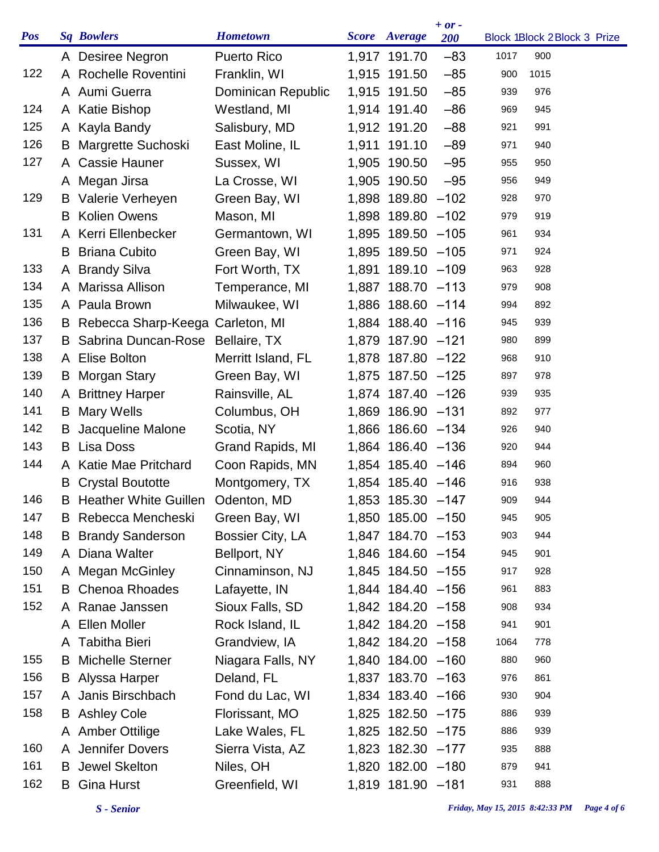| <b>Pos</b> |    | <b>Sq Bowlers</b>                   | <b>Hometown</b>    | Score Average     | $+ or -$<br><b>200</b> |      | Block 1Block 2Block 3 Prize |
|------------|----|-------------------------------------|--------------------|-------------------|------------------------|------|-----------------------------|
|            |    | A Desiree Negron                    | <b>Puerto Rico</b> | 1,917 191.70      | $-83$                  | 1017 | 900                         |
| 122        |    | A Rochelle Roventini                | Franklin, WI       | 1,915 191.50      | $-85$                  | 900  | 1015                        |
|            |    | A Aumi Guerra                       | Dominican Republic | 1,915 191.50      | $-85$                  | 939  | 976                         |
| 124        |    | A Katie Bishop                      | Westland, MI       | 1,914 191.40      | $-86$                  | 969  | 945                         |
| 125        |    | A Kayla Bandy                       | Salisbury, MD      | 1,912 191.20      | $-88$                  | 921  | 991                         |
| 126        | B  | Margrette Suchoski                  | East Moline, IL    | 1,911 191.10      | $-89$                  | 971  | 940                         |
| 127        |    | A Cassie Hauner                     | Sussex, WI         | 1,905 190.50      | $-95$                  | 955  | 950                         |
|            |    | A Megan Jirsa                       | La Crosse, WI      | 1,905 190.50      | $-95$                  | 956  | 949                         |
| 129        | B  | Valerie Verheyen                    | Green Bay, WI      | 1,898 189.80      | $-102$                 | 928  | 970                         |
|            | B  | <b>Kolien Owens</b>                 | Mason, MI          | 1,898 189.80 -102 |                        | 979  | 919                         |
| 131        |    | A Kerri Ellenbecker                 | Germantown, WI     | 1,895 189.50 -105 |                        | 961  | 934                         |
|            | B  | <b>Briana Cubito</b>                | Green Bay, WI      | 1,895 189.50 -105 |                        | 971  | 924                         |
| 133        |    | A Brandy Silva                      | Fort Worth, TX     | 1,891 189.10 -109 |                        | 963  | 928                         |
| 134        |    | A Marissa Allison                   | Temperance, MI     | 1,887 188.70 -113 |                        | 979  | 908                         |
| 135        |    | A Paula Brown                       | Milwaukee, WI      | 1,886 188.60 -114 |                        | 994  | 892                         |
| 136        |    | B Rebecca Sharp-Keega Carleton, MI  |                    | 1,884 188.40 -116 |                        | 945  | 939                         |
| 137        |    | <b>B</b> Sabrina Duncan-Rose        | Bellaire, TX       | 1,879 187.90 -121 |                        | 980  | 899                         |
| 138        |    | A Elise Bolton                      | Merritt Island, FL | 1,878 187.80 -122 |                        | 968  | 910                         |
| 139        | B  | Morgan Stary                        | Green Bay, WI      | 1,875 187.50 -125 |                        | 897  | 978                         |
| 140        |    | A Brittney Harper                   | Rainsville, AL     | 1,874 187.40 -126 |                        | 939  | 935                         |
| 141        | B  | <b>Mary Wells</b>                   | Columbus, OH       | 1,869 186.90 -131 |                        | 892  | 977                         |
| 142        | B  | Jacqueline Malone                   | Scotia, NY         | 1,866 186.60 -134 |                        | 926  | 940                         |
| 143        | B  | <b>Lisa Doss</b>                    | Grand Rapids, MI   | 1,864 186.40 -136 |                        | 920  | 944                         |
| 144        |    | A Katie Mae Pritchard               | Coon Rapids, MN    | 1,854 185.40 -146 |                        | 894  | 960                         |
|            | B  | <b>Crystal Boutotte</b>             | Montgomery, TX     | 1,854 185.40 -146 |                        | 916  | 938                         |
| 146        |    | B Heather White Guillen Odenton, MD |                    | 1,853 185.30 -147 |                        | 909  | 944                         |
| 147        | B  | Rebecca Mencheski                   | Green Bay, WI      | 1,850 185.00 -150 |                        | 945  | 905                         |
| 148        |    | <b>B</b> Brandy Sanderson           | Bossier City, LA   | 1,847 184.70 -153 |                        | 903  | 944                         |
| 149        |    | A Diana Walter                      | Bellport, NY       | 1,846 184.60 -154 |                        | 945  | 901                         |
| 150        |    | A Megan McGinley                    | Cinnaminson, NJ    | 1,845 184.50 -155 |                        | 917  | 928                         |
| 151        |    | <b>B</b> Chenoa Rhoades             | Lafayette, IN      | 1,844 184.40 -156 |                        | 961  | 883                         |
| 152        |    | A Ranae Janssen                     | Sioux Falls, SD    | 1,842 184.20 -158 |                        | 908  | 934                         |
|            |    | A Ellen Moller                      | Rock Island, IL    | 1,842 184.20 -158 |                        | 941  | 901                         |
|            | A  | <b>Tabitha Bieri</b>                | Grandview, IA      | 1,842 184.20 -158 |                        | 1064 | 778                         |
| 155        | B. | <b>Michelle Sterner</b>             | Niagara Falls, NY  | 1,840 184.00 -160 |                        | 880  | 960                         |
| 156        |    | <b>B</b> Alyssa Harper              | Deland, FL         | 1,837 183.70 -163 |                        | 976  | 861                         |
| 157        |    | A Janis Birschbach                  | Fond du Lac, WI    | 1,834 183.40 -166 |                        | 930  | 904                         |
| 158        |    | <b>B</b> Ashley Cole                | Florissant, MO     | 1,825 182.50 -175 |                        | 886  | 939                         |
|            |    | A Amber Ottilige                    | Lake Wales, FL     | 1,825 182.50 -175 |                        | 886  | 939                         |
| 160        |    | A Jennifer Dovers                   | Sierra Vista, AZ   | 1,823 182.30 -177 |                        | 935  | 888                         |
| 161        |    | <b>B</b> Jewel Skelton              | Niles, OH          | 1,820 182.00 -180 |                        | 879  | 941                         |
| 162        | В  | <b>Gina Hurst</b>                   | Greenfield, WI     | 1,819 181.90 -181 |                        | 931  | 888                         |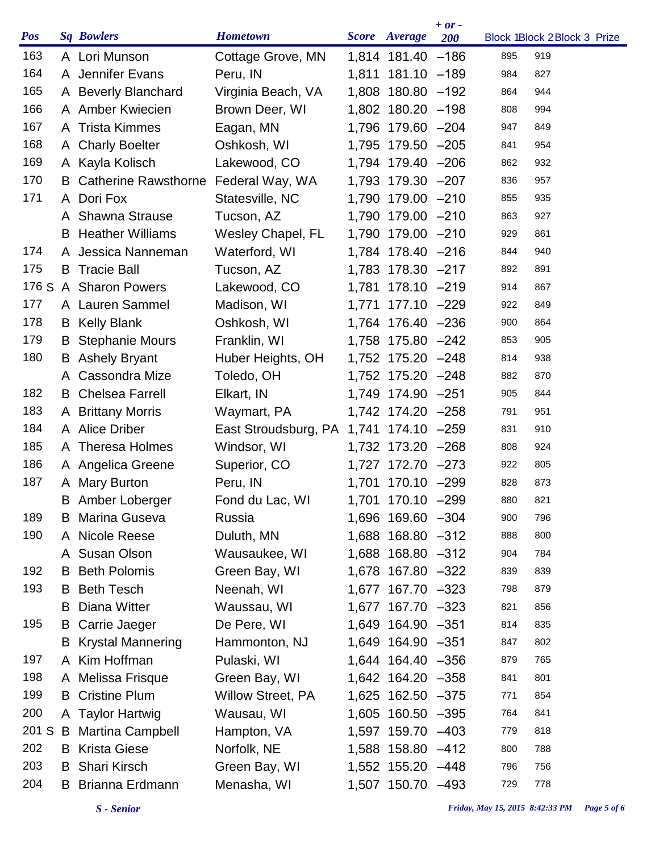| <b>Pos</b> |    | <b>Sq Bowlers</b>             | <b>Hometown</b>                        |       | Score Average     | $+ or -$<br><b>200</b> |     | Block 1Block 2Block 3 Prize |
|------------|----|-------------------------------|----------------------------------------|-------|-------------------|------------------------|-----|-----------------------------|
| 163        |    | A Lori Munson                 | Cottage Grove, MN                      |       | 1,814 181.40 -186 |                        | 895 | 919                         |
| 164        |    | A Jennifer Evans              | Peru, IN                               |       | 1,811 181.10 -189 |                        | 984 | 827                         |
| 165        |    | A Beverly Blanchard           | Virginia Beach, VA                     |       | 1,808 180.80 -192 |                        | 864 | 944                         |
| 166        |    | A Amber Kwiecien              | Brown Deer, WI                         |       | 1,802 180.20 -198 |                        | 808 | 994                         |
| 167        |    | A Trista Kimmes               | Eagan, MN                              |       | 1,796 179.60 -204 |                        | 947 | 849                         |
| 168        |    | A Charly Boelter              | Oshkosh, WI                            |       | 1,795 179.50 -205 |                        | 841 | 954                         |
| 169        |    | A Kayla Kolisch               | Lakewood, CO                           |       | 1,794 179.40 -206 |                        | 862 | 932                         |
| 170        |    | <b>B</b> Catherine Rawsthorne | Federal Way, WA                        |       | 1,793 179.30 -207 |                        | 836 | 957                         |
| 171        |    | A Dori Fox                    | Statesville, NC                        |       | 1,790 179.00 -210 |                        | 855 | 935                         |
|            |    | A Shawna Strause              | Tucson, AZ                             |       | 1,790 179.00 -210 |                        | 863 | 927                         |
|            |    | <b>B</b> Heather Williams     | Wesley Chapel, FL                      |       | 1,790 179.00 -210 |                        | 929 | 861                         |
| 174        |    | A Jessica Nanneman            | Waterford, WI                          |       | 1,784 178.40 -216 |                        | 844 | 940                         |
| 175        | B  | <b>Tracie Ball</b>            | Tucson, AZ                             |       | 1,783 178.30 -217 |                        | 892 | 891                         |
| 176 S      |    | A Sharon Powers               | Lakewood, CO                           |       | 1,781 178.10 -219 |                        | 914 | 867                         |
| 177        |    | A Lauren Sammel               | Madison, WI                            | 1,771 | 177.10 -229       |                        | 922 | 849                         |
| 178        |    | <b>B</b> Kelly Blank          | Oshkosh, WI                            |       | 1,764 176.40 -236 |                        | 900 | 864                         |
| 179        | B  | <b>Stephanie Mours</b>        | Franklin, WI                           |       | 1,758 175.80 -242 |                        | 853 | 905                         |
| 180        |    | <b>B</b> Ashely Bryant        | Huber Heights, OH                      |       | 1,752 175.20 -248 |                        | 814 | 938                         |
|            |    | A Cassondra Mize              | Toledo, OH                             |       | 1,752 175.20 -248 |                        | 882 | 870                         |
| 182        |    | <b>B</b> Chelsea Farrell      | Elkart, IN                             |       | 1,749 174.90 -251 |                        | 905 | 844                         |
| 183        |    | A Brittany Morris             | Waymart, PA                            |       | 1,742 174.20 -258 |                        | 791 | 951                         |
| 184        |    | A Alice Driber                | East Stroudsburg, PA 1,741 174.10 -259 |       |                   |                        | 831 | 910                         |
| 185        |    | A Theresa Holmes              | Windsor, WI                            |       | 1,732 173.20 -268 |                        | 808 | 924                         |
| 186        |    | A Angelica Greene             | Superior, CO                           |       | 1,727 172.70 -273 |                        | 922 | 805                         |
| 187        |    | A Mary Burton                 | Peru, IN                               |       | 1,701 170.10 -299 |                        | 828 | 873                         |
|            |    | <b>B</b> Amber Loberger       | Fond du Lac, WI                        |       | 1,701 170.10 -299 |                        | 880 | 821                         |
| 189        | B  | Marina Guseva                 | Russia                                 |       | 1,696 169.60 -304 |                        | 900 | 796                         |
| 190        |    | A Nicole Reese                | Duluth, MN                             |       | 1,688 168.80 -312 |                        | 888 | 800                         |
|            |    | A Susan Olson                 | Wausaukee, WI                          |       | 1,688 168.80 -312 |                        | 904 | 784                         |
| 192        |    | <b>B</b> Beth Polomis         | Green Bay, WI                          |       | 1,678 167.80 -322 |                        | 839 | 839                         |
| 193        |    | <b>B</b> Beth Tesch           | Neenah, WI                             |       | 1,677 167.70 -323 |                        | 798 | 879                         |
|            | B. | Diana Witter                  | Waussau, WI                            |       | 1,677 167.70 -323 |                        | 821 | 856                         |
| 195        | B  | Carrie Jaeger                 | De Pere, WI                            |       | 1,649 164.90 -351 |                        | 814 | 835                         |
|            | B  | <b>Krystal Mannering</b>      | Hammonton, NJ                          |       | 1,649 164.90 -351 |                        | 847 | 802                         |
| 197        |    | A Kim Hoffman                 | Pulaski, WI                            |       | 1,644 164.40 -356 |                        | 879 | 765                         |
| 198        |    | A Melissa Frisque             | Green Bay, WI                          |       | 1,642 164.20 -358 |                        | 841 | 801                         |
| 199        | B  | <b>Cristine Plum</b>          | <b>Willow Street, PA</b>               |       | 1,625 162.50 -375 |                        | 771 | 854                         |
| 200        |    | A Taylor Hartwig              | Wausau, WI                             |       | 1,605 160.50 -395 |                        | 764 | 841                         |
|            |    | 201 S B Martina Campbell      | Hampton, VA                            |       | 1,597 159.70 -403 |                        | 779 | 818                         |
| 202        |    | <b>B</b> Krista Giese         | Norfolk, NE                            |       | 1,588 158.80 -412 |                        | 800 | 788                         |
| 203        | B  | <b>Shari Kirsch</b>           | Green Bay, WI                          |       | 1,552 155.20 -448 |                        | 796 | 756                         |
| 204        | B  | Brianna Erdmann               | Menasha, WI                            |       | 1,507 150.70 -493 |                        | 729 | 778                         |